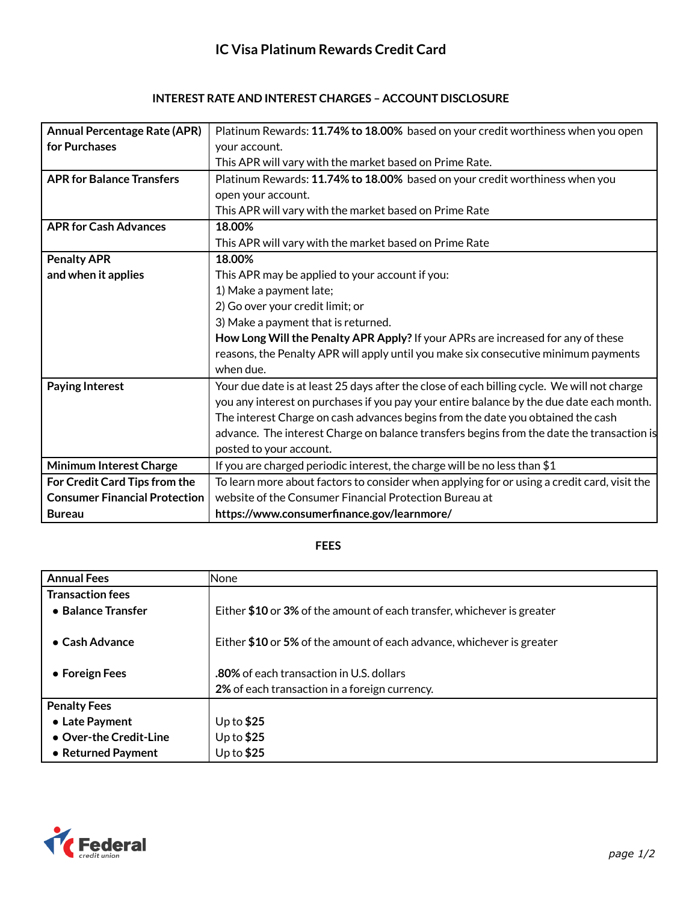## **INTEREST RATE AND INTEREST CHARGES – ACCOUNT DISCLOSURE**

| <b>Annual Percentage Rate (APR)</b>  | Platinum Rewards: 11.74% to 18.00% based on your credit worthiness when you open            |
|--------------------------------------|---------------------------------------------------------------------------------------------|
| for Purchases                        | your account.                                                                               |
|                                      | This APR will vary with the market based on Prime Rate.                                     |
| <b>APR for Balance Transfers</b>     | Platinum Rewards: 11.74% to 18.00% based on your credit worthiness when you                 |
|                                      | open your account.                                                                          |
|                                      | This APR will vary with the market based on Prime Rate                                      |
| <b>APR for Cash Advances</b>         | 18.00%                                                                                      |
|                                      | This APR will vary with the market based on Prime Rate                                      |
| <b>Penalty APR</b>                   | 18.00%                                                                                      |
| and when it applies                  | This APR may be applied to your account if you:                                             |
|                                      | 1) Make a payment late;                                                                     |
|                                      | 2) Go over your credit limit; or                                                            |
|                                      | 3) Make a payment that is returned.                                                         |
|                                      | How Long Will the Penalty APR Apply? If your APRs are increased for any of these            |
|                                      | reasons, the Penalty APR will apply until you make six consecutive minimum payments         |
|                                      | when due.                                                                                   |
| <b>Paying Interest</b>               | Your due date is at least 25 days after the close of each billing cycle. We will not charge |
|                                      | you any interest on purchases if you pay your entire balance by the due date each month.    |
|                                      | The interest Charge on cash advances begins from the date you obtained the cash             |
|                                      | advance. The interest Charge on balance transfers begins from the date the transaction is   |
|                                      | posted to your account.                                                                     |
| <b>Minimum Interest Charge</b>       | If you are charged periodic interest, the charge will be no less than \$1                   |
| For Credit Card Tips from the        | To learn more about factors to consider when applying for or using a credit card, visit the |
| <b>Consumer Financial Protection</b> | website of the Consumer Financial Protection Bureau at                                      |
| <b>Bureau</b>                        | https://www.consumerfinance.gov/learnmore/                                                  |

## **FEES**

| <b>Annual Fees</b>      | <b>None</b>                                                            |
|-------------------------|------------------------------------------------------------------------|
| <b>Transaction fees</b> |                                                                        |
| • Balance Transfer      | Either \$10 or 3% of the amount of each transfer, whichever is greater |
|                         |                                                                        |
| $\bullet$ Cash Advance  | Either \$10 or 5% of the amount of each advance, whichever is greater  |
|                         |                                                                        |
| • Foreign Fees          | <b>.80%</b> of each transaction in U.S. dollars                        |
|                         | 2% of each transaction in a foreign currency.                          |
| <b>Penalty Fees</b>     |                                                                        |
| • Late Payment          | Up to $$25$                                                            |
| • Over-the Credit-Line  | Up to $$25$                                                            |
| • Returned Payment      | Up to $$25$                                                            |